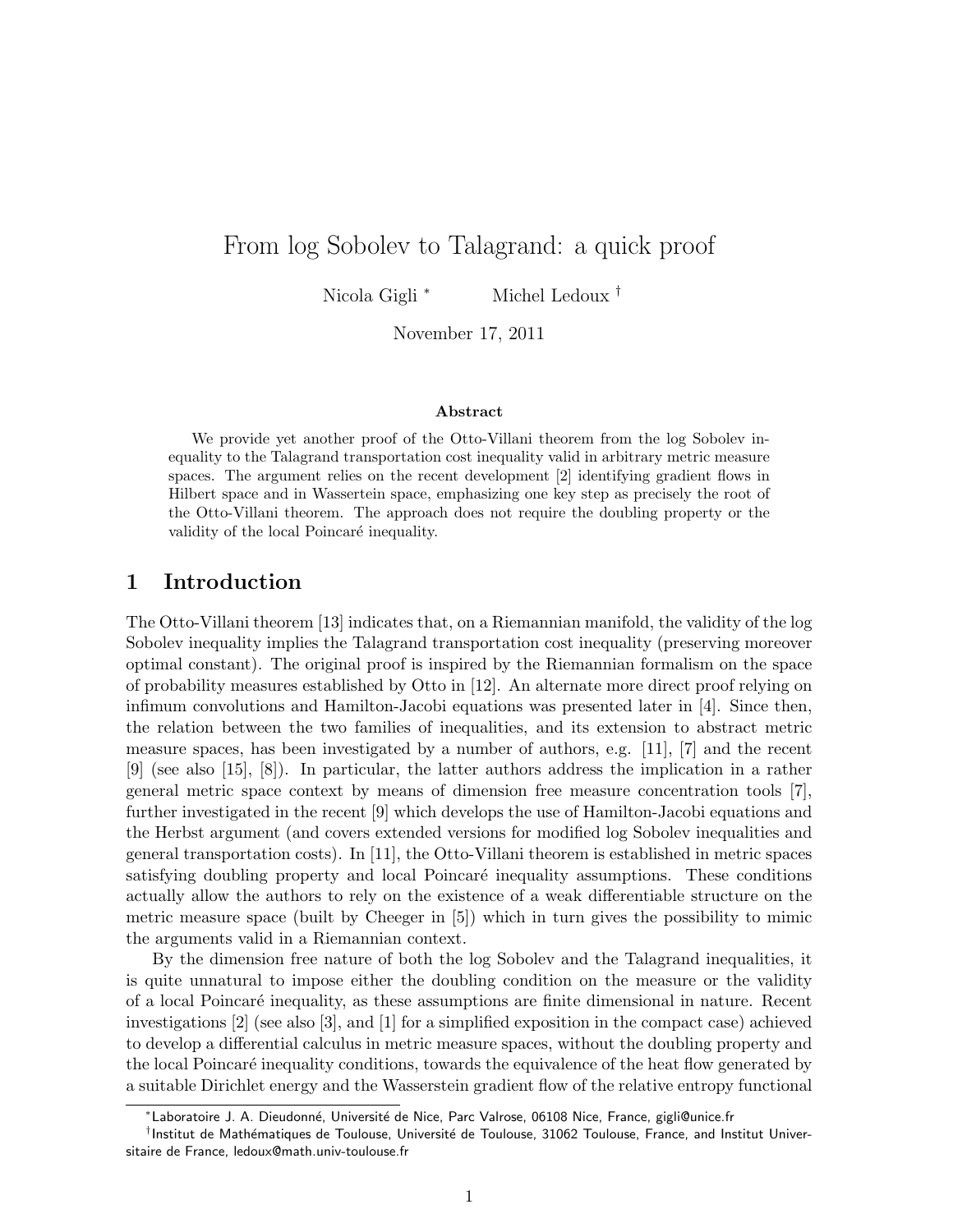# From log Sobolev to Talagrand: a quick proof

Nicola Gigli <sup>∗</sup> Michel Ledoux <sup>†</sup>

November 17, 2011

#### Abstract

We provide yet another proof of the Otto-Villani theorem from the log Sobolev inequality to the Talagrand transportation cost inequality valid in arbitrary metric measure spaces. The argument relies on the recent development [2] identifying gradient flows in Hilbert space and in Wassertein space, emphasizing one key step as precisely the root of the Otto-Villani theorem. The approach does not require the doubling property or the validity of the local Poincaré inequality.

### 1 Introduction

The Otto-Villani theorem [13] indicates that, on a Riemannian manifold, the validity of the log Sobolev inequality implies the Talagrand transportation cost inequality (preserving moreover optimal constant). The original proof is inspired by the Riemannian formalism on the space of probability measures established by Otto in [12]. An alternate more direct proof relying on infimum convolutions and Hamilton-Jacobi equations was presented later in [4]. Since then, the relation between the two families of inequalities, and its extension to abstract metric measure spaces, has been investigated by a number of authors, e.g. [11], [7] and the recent [9] (see also [15], [8]). In particular, the latter authors address the implication in a rather general metric space context by means of dimension free measure concentration tools [7], further investigated in the recent [9] which develops the use of Hamilton-Jacobi equations and the Herbst argument (and covers extended versions for modified log Sobolev inequalities and general transportation costs). In [11], the Otto-Villani theorem is established in metric spaces satisfying doubling property and local Poincaré inequality assumptions. These conditions actually allow the authors to rely on the existence of a weak differentiable structure on the metric measure space (built by Cheeger in [5]) which in turn gives the possibility to mimic the arguments valid in a Riemannian context.

By the dimension free nature of both the log Sobolev and the Talagrand inequalities, it is quite unnatural to impose either the doubling condition on the measure or the validity of a local Poincar´e inequality, as these assumptions are finite dimensional in nature. Recent investigations [2] (see also [3], and [1] for a simplified exposition in the compact case) achieved to develop a differential calculus in metric measure spaces, without the doubling property and the local Poincaré inequality conditions, towards the equivalence of the heat flow generated by a suitable Dirichlet energy and the Wasserstein gradient flow of the relative entropy functional

<sup>\*</sup>Laboratoire J. A. Dieudonné, Université de Nice, Parc Valrose, 06108 Nice, France, gigli@unice.fr

<sup>&</sup>lt;sup>†</sup>Institut de Mathématiques de Toulouse, Université de Toulouse, 31062 Toulouse, France, and Institut Universitaire de France, ledoux@math.univ-toulouse.fr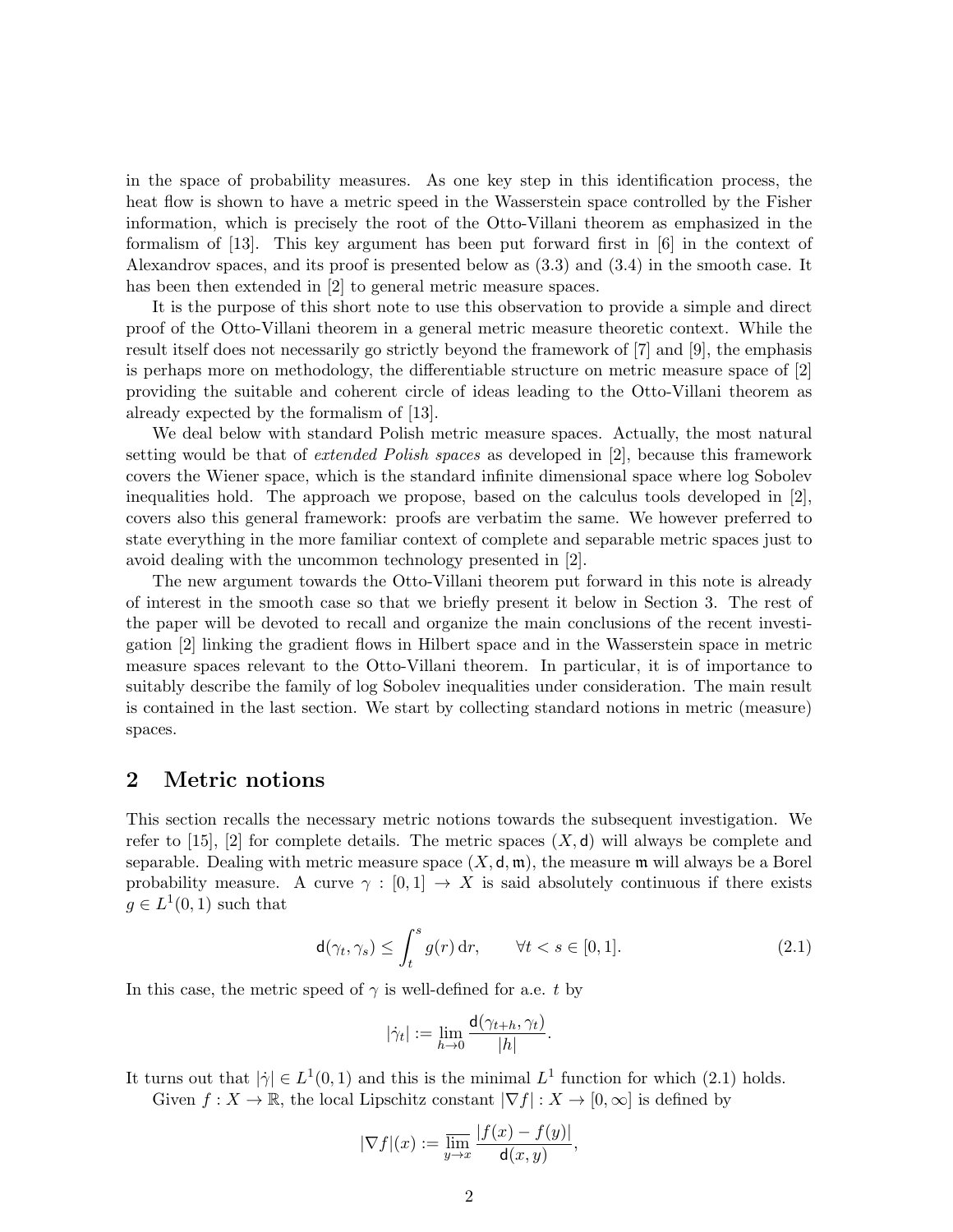in the space of probability measures. As one key step in this identification process, the heat flow is shown to have a metric speed in the Wasserstein space controlled by the Fisher information, which is precisely the root of the Otto-Villani theorem as emphasized in the formalism of [13]. This key argument has been put forward first in [6] in the context of Alexandrov spaces, and its proof is presented below as (3.3) and (3.4) in the smooth case. It has been then extended in [2] to general metric measure spaces.

It is the purpose of this short note to use this observation to provide a simple and direct proof of the Otto-Villani theorem in a general metric measure theoretic context. While the result itself does not necessarily go strictly beyond the framework of [7] and [9], the emphasis is perhaps more on methodology, the differentiable structure on metric measure space of [2] providing the suitable and coherent circle of ideas leading to the Otto-Villani theorem as already expected by the formalism of [13].

We deal below with standard Polish metric measure spaces. Actually, the most natural setting would be that of extended Polish spaces as developed in [2], because this framework covers the Wiener space, which is the standard infinite dimensional space where log Sobolev inequalities hold. The approach we propose, based on the calculus tools developed in [2], covers also this general framework: proofs are verbatim the same. We however preferred to state everything in the more familiar context of complete and separable metric spaces just to avoid dealing with the uncommon technology presented in [2].

The new argument towards the Otto-Villani theorem put forward in this note is already of interest in the smooth case so that we briefly present it below in Section 3. The rest of the paper will be devoted to recall and organize the main conclusions of the recent investigation [2] linking the gradient flows in Hilbert space and in the Wasserstein space in metric measure spaces relevant to the Otto-Villani theorem. In particular, it is of importance to suitably describe the family of log Sobolev inequalities under consideration. The main result is contained in the last section. We start by collecting standard notions in metric (measure) spaces.

#### 2 Metric notions

This section recalls the necessary metric notions towards the subsequent investigation. We refer to [15], [2] for complete details. The metric spaces  $(X, d)$  will always be complete and separable. Dealing with metric measure space  $(X, \mathsf{d}, \mathfrak{m})$ , the measure  $\mathfrak{m}$  will always be a Borel probability measure. A curve  $\gamma : [0,1] \to X$  is said absolutely continuous if there exists  $g \in L^1(0,1)$  such that

$$
\mathsf{d}(\gamma_t, \gamma_s) \le \int_t^s g(r) \, \mathrm{d}r, \qquad \forall t < s \in [0, 1]. \tag{2.1}
$$

In this case, the metric speed of  $\gamma$  is well-defined for a.e. t by

$$
|\dot{\gamma}_t| := \lim_{h \to 0} \frac{\mathsf{d}(\gamma_{t+h}, \gamma_t)}{|h|}.
$$

It turns out that  $|\dot{\gamma}| \in L^1(0,1)$  and this is the minimal  $L^1$  function for which (2.1) holds. Given  $f: X \to \mathbb{R}$ , the local Lipschitz constant  $|\nabla f|: X \to [0, \infty]$  is defined by

$$
|\nabla f|(x) := \overline{\lim_{y \to x}} \frac{|f(x) - f(y)|}{\mathsf{d}(x, y)},
$$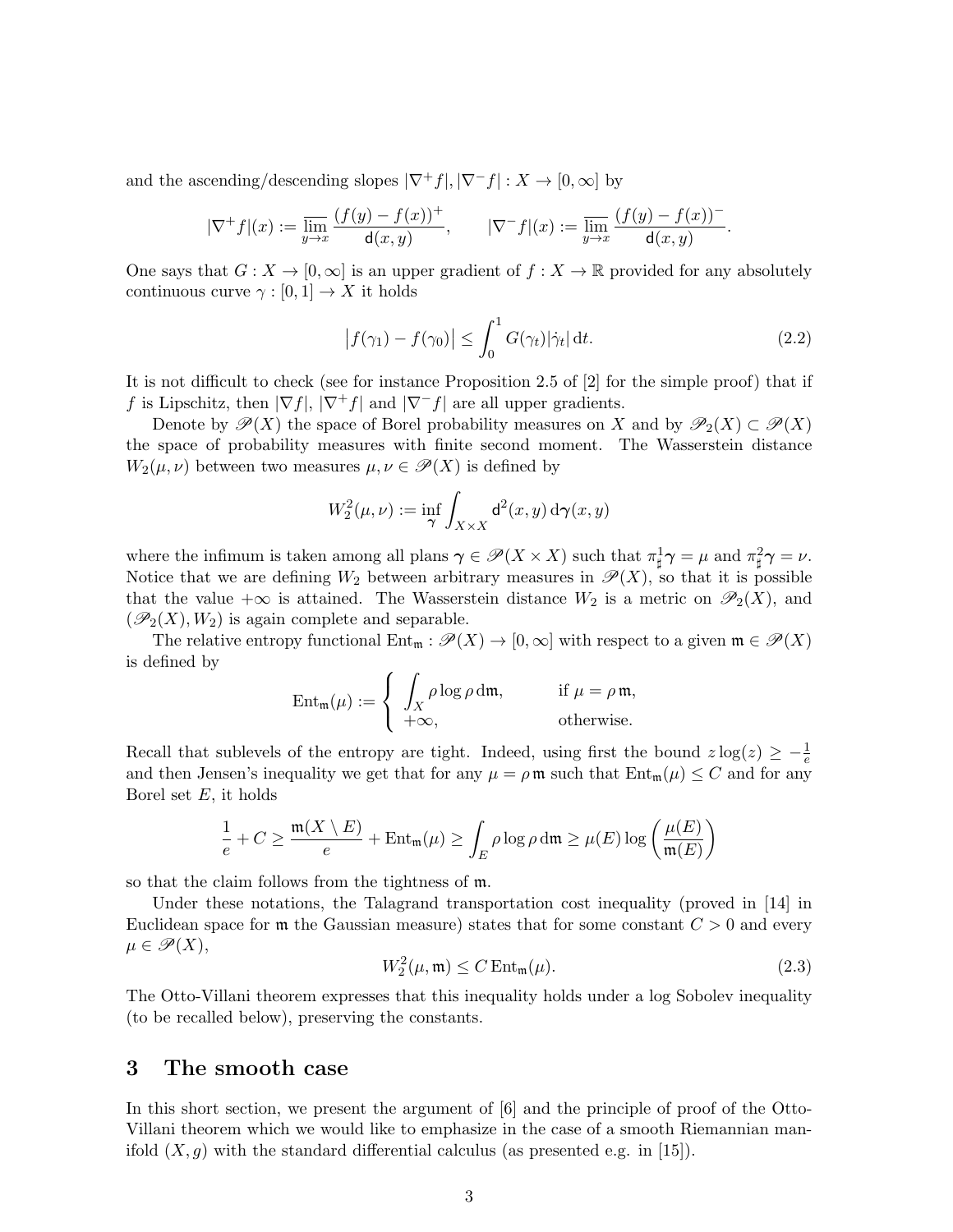and the ascending/descending slopes  $|\nabla^+ f|, |\nabla^- f| : X \to [0, \infty]$  by

$$
|\nabla^+ f|(x):=\varlimsup_{y\to x}\frac{(f(y)-f(x))^+}{\mathsf{d}(x,y)},\qquad |\nabla^- f|(x):=\varlimsup_{y\to x}\frac{(f(y)-f(x))^-\mathsf{d}(x,y)}{\mathsf{d}(x,y)}.
$$

One says that  $G: X \to [0, \infty]$  is an upper gradient of  $f: X \to \mathbb{R}$  provided for any absolutely continuous curve  $\gamma : [0, 1] \to X$  it holds

$$
\left|f(\gamma_1) - f(\gamma_0)\right| \le \int_0^1 G(\gamma_t) |\dot{\gamma}_t| \, \mathrm{d}t. \tag{2.2}
$$

It is not difficult to check (see for instance Proposition 2.5 of [2] for the simple proof) that if f is Lipschitz, then  $|\nabla f|, |\nabla^+ f|$  and  $|\nabla^- f|$  are all upper gradients.

Denote by  $\mathcal{P}(X)$  the space of Borel probability measures on X and by  $\mathcal{P}_2(X) \subset \mathcal{P}(X)$ the space of probability measures with finite second moment. The Wasserstein distance  $W_2(\mu, \nu)$  between two measures  $\mu, \nu \in \mathscr{P}(X)$  is defined by

$$
W_2^2(\mu,\nu) := \inf_{\gamma} \int_{X \times X} \mathsf{d}^2(x,y) \, \mathrm{d}\gamma(x,y)
$$

where the infimum is taken among all plans  $\gamma \in \mathscr{P}(X \times X)$  such that  $\pi_{\sharp}^1 \gamma = \mu$  and  $\pi_{\sharp}^2 \gamma = \nu$ . Notice that we are defining  $W_2$  between arbitrary measures in  $\mathscr{P}(X)$ , so that it is possible that the value + $\infty$  is attained. The Wasserstein distance  $W_2$  is a metric on  $\mathcal{P}_2(X)$ , and  $(\mathscr{P}_2(X), W_2)$  is again complete and separable.

The relative entropy functional  $Ent_m : \mathscr{P}(X) \to [0,\infty]$  with respect to a given  $m \in \mathscr{P}(X)$ is defined by

$$
\operatorname{Ent}_{\mathfrak{m}}(\mu) := \begin{cases} \int_X \rho \log \rho \, \mathrm{d}\mathfrak{m}, & \text{if } \mu = \rho \mathfrak{m}, \\ +\infty, & \text{otherwise.} \end{cases}
$$

Recall that sublevels of the entropy are tight. Indeed, using first the bound  $z \log(z) \geq -\frac{1}{e}$ and then Jensen's inequality we get that for any  $\mu = \rho \mathfrak{m}$  such that  $Ent_{\mathfrak{m}}(\mu) \leq C$  and for any Borel set  $E$ , it holds

$$
\frac{1}{e} + C \ge \frac{\mathfrak{m}(X \setminus E)}{e} + \mathrm{Ent}_{\mathfrak{m}}(\mu) \ge \int_{E} \rho \log \rho \, \mathrm{d}\mathfrak{m} \ge \mu(E) \log \left( \frac{\mu(E)}{\mathfrak{m}(E)} \right)
$$

so that the claim follows from the tightness of m.

Under these notations, the Talagrand transportation cost inequality (proved in [14] in Euclidean space for  $\mathfrak{m}$  the Gaussian measure) states that for some constant  $C > 0$  and every  $\mu \in \mathscr{P}(X),$ 

$$
W_2^2(\mu, \mathfrak{m}) \le C \operatorname{Ent}_{\mathfrak{m}}(\mu). \tag{2.3}
$$

The Otto-Villani theorem expresses that this inequality holds under a log Sobolev inequality (to be recalled below), preserving the constants.

### 3 The smooth case

In this short section, we present the argument of [6] and the principle of proof of the Otto-Villani theorem which we would like to emphasize in the case of a smooth Riemannian manifold  $(X, g)$  with the standard differential calculus (as presented e.g. in [15]).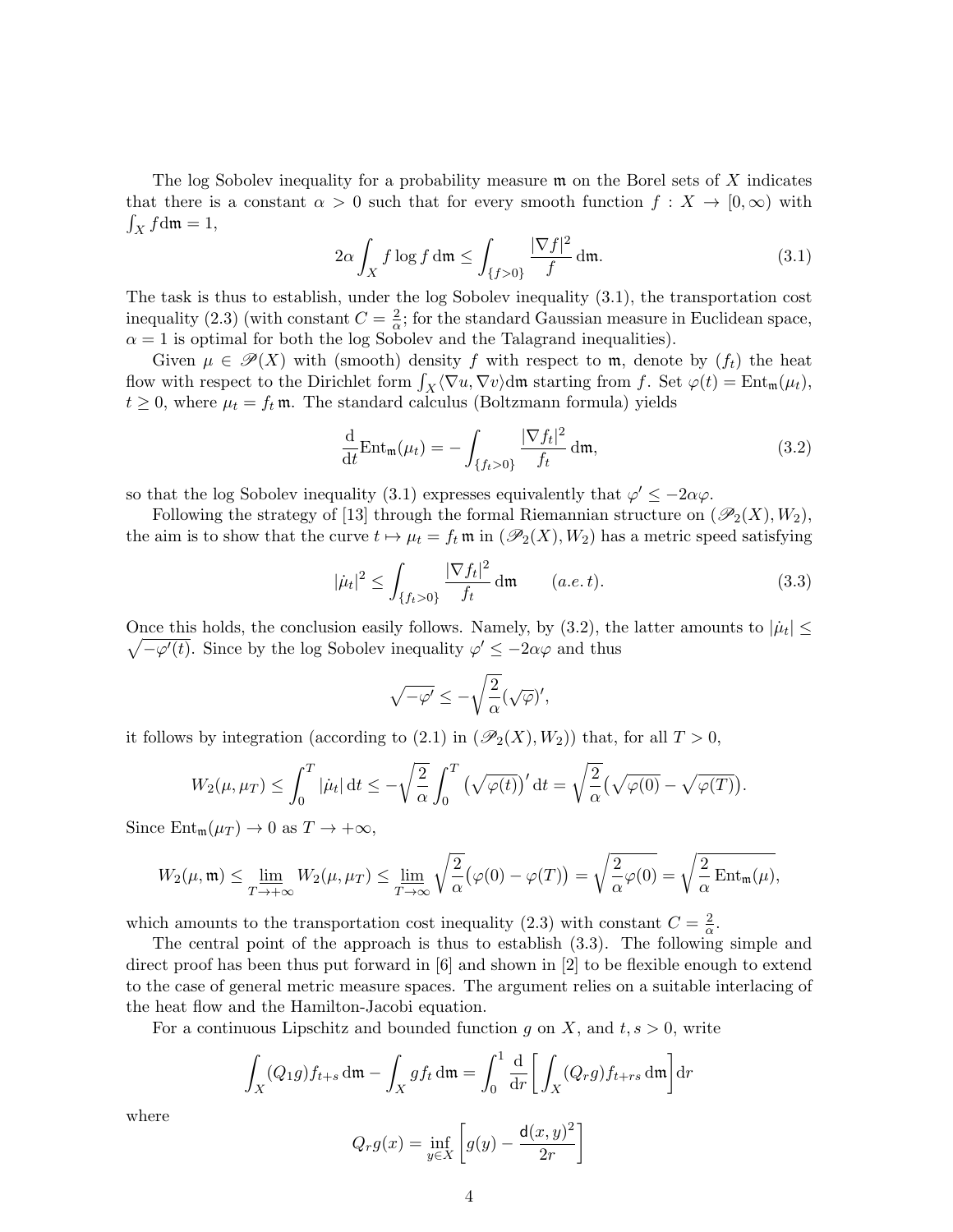The log Sobolev inequality for a probability measure  $\mathfrak m$  on the Borel sets of X indicates that there is a constant  $\alpha > 0$  such that for every smooth function  $f: X \to [0, \infty)$  with  $\int_X f \, \mathrm{d}\mathfrak{m} = 1,$ 

$$
2\alpha \int_X f \log f \, \mathrm{d}\mathfrak{m} \le \int_{\{f>0\}} \frac{|\nabla f|^2}{f} \, \mathrm{d}\mathfrak{m}.\tag{3.1}
$$

The task is thus to establish, under the log Sobolev inequality (3.1), the transportation cost inequality (2.3) (with constant  $C = \frac{2}{\alpha}$  $\frac{2}{\alpha}$ ; for the standard Gaussian measure in Euclidean space,  $\alpha = 1$  is optimal for both the log Sobolev and the Talagrand inequalities).

Given  $\mu \in \mathscr{P}(X)$  with (smooth) density f with respect to m, denote by  $(f_t)$  the heat flow with respect to the Dirichlet form  $\int_X \langle \nabla u, \nabla v \rangle d\mathfrak{m}$  starting from f. Set  $\varphi(t) = \text{Ent}_{\mathfrak{m}}(\mu_t)$ ,  $t \geq 0$ , where  $\mu_t = f_t \mathfrak{m}$ . The standard calculus (Boltzmann formula) yields

$$
\frac{\mathrm{d}}{\mathrm{d}t} \mathrm{Ent}_{\mathfrak{m}}(\mu_t) = -\int_{\{f_t > 0\}} \frac{|\nabla f_t|^2}{f_t} \,\mathrm{d}\mathfrak{m},\tag{3.2}
$$

so that the log Sobolev inequality (3.1) expresses equivalently that  $\varphi' \leq -2\alpha\varphi$ .

Following the strategy of [13] through the formal Riemannian structure on  $(\mathscr{P}_2(X), W_2)$ , the aim is to show that the curve  $t \mapsto \mu_t = f_t \mathfrak{m}$  in  $(\mathscr{P}_2(X), W_2)$  has a metric speed satisfying

$$
|\dot{\mu}_t|^2 \le \int_{\{f_t > 0\}} \frac{|\nabla f_t|^2}{f_t} \, \mathrm{d}\mathfrak{m} \qquad (a.e. t). \tag{3.3}
$$

Once this holds, the conclusion easily follows. Namely, by  $(3.2)$ , the latter amounts to  $|\mu_t| \le$  $\sqrt{-\varphi'(t)}$ . Since by the log Sobolev inequality  $\varphi' \leq -2\alpha\varphi$  and thus

$$
\sqrt{-\varphi'}\leq -\sqrt{\frac{2}{\alpha}}(\sqrt{\varphi})',
$$

it follows by integration (according to (2.1) in  $(\mathscr{P}_2(X), W_2)$ ) that, for all  $T > 0$ ,

$$
W_2(\mu, \mu_T) \leq \int_0^T |\dot{\mu}_t| dt \leq -\sqrt{\frac{2}{\alpha}} \int_0^T \left(\sqrt{\varphi(t)}\right)' dt = \sqrt{\frac{2}{\alpha}} \left(\sqrt{\varphi(0)} - \sqrt{\varphi(T)}\right).
$$

Since  $Ent_{m}(\mu_{T}) \rightarrow 0$  as  $T \rightarrow +\infty$ ,

$$
W_2(\mu, \mathfrak{m}) \le \lim_{T \to +\infty} W_2(\mu, \mu_T) \le \lim_{T \to \infty} \sqrt{\frac{2}{\alpha}} (\varphi(0) - \varphi(T)) = \sqrt{\frac{2}{\alpha} \varphi(0)} = \sqrt{\frac{2}{\alpha} \operatorname{Ent}_{\mathfrak{m}}(\mu)},
$$

which amounts to the transportation cost inequality (2.3) with constant  $C = \frac{2}{\alpha}$  $\frac{2}{\alpha}$ .

The central point of the approach is thus to establish (3.3). The following simple and direct proof has been thus put forward in [6] and shown in [2] to be flexible enough to extend to the case of general metric measure spaces. The argument relies on a suitable interlacing of the heat flow and the Hamilton-Jacobi equation.

For a continuous Lipschitz and bounded function g on X, and  $t, s > 0$ , write

$$
\int_X (Q_1 g) f_{t+s} \, \mathrm{d}\mathfrak{m} - \int_X g f_t \, \mathrm{d}\mathfrak{m} = \int_0^1 \frac{\mathrm{d}}{\mathrm{d}r} \bigg[ \int_X (Q_r g) f_{t+r} \, \mathrm{d}\mathfrak{m} \bigg] \mathrm{d}r
$$

where

$$
Q_r g(x) = \inf_{y \in X} \left[ g(y) - \frac{\mathsf{d}(x, y)^2}{2r} \right]
$$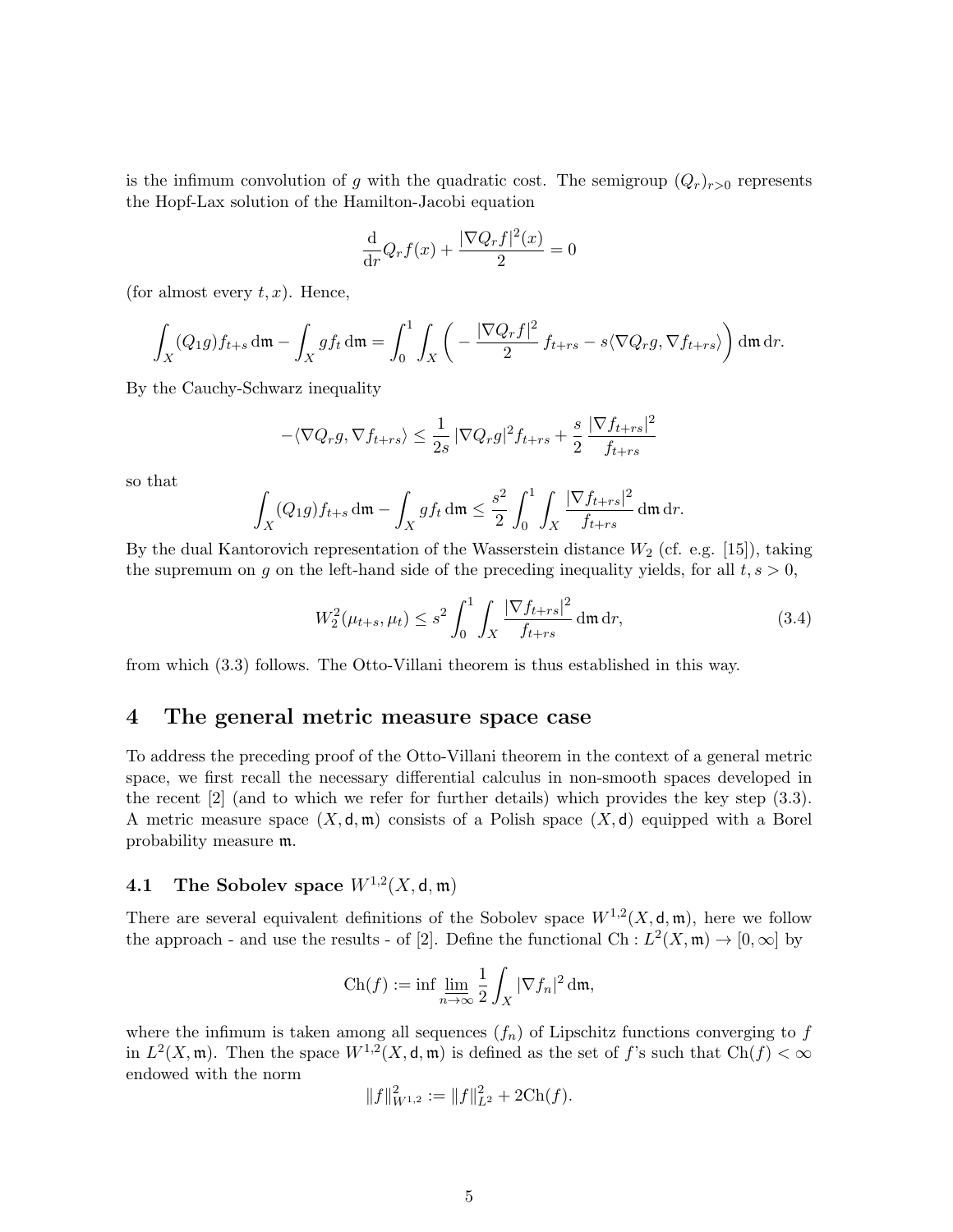is the infimum convolution of g with the quadratic cost. The semigroup  $(Q_r)_{r>0}$  represents the Hopf-Lax solution of the Hamilton-Jacobi equation

$$
\frac{\mathrm{d}}{\mathrm{d}r}Q_rf(x) + \frac{|\nabla Q_rf|^2(x)}{2} = 0
$$

(for almost every  $t, x$ ). Hence,

$$
\int_X (Q_1 g) f_{t+s} \, \mathrm{d}\mathfrak{m} - \int_X g f_t \, \mathrm{d}\mathfrak{m} = \int_0^1 \int_X \left( -\frac{|\nabla Q_r f|^2}{2} f_{t+rs} - s \langle \nabla Q_r g, \nabla f_{t+rs} \rangle \right) \mathrm{d}\mathfrak{m} \, \mathrm{d}r.
$$

By the Cauchy-Schwarz inequality

$$
-\langle \nabla Q_r g, \nabla f_{t+rs} \rangle \le \frac{1}{2s} \left| \nabla Q_r g \right|^2 f_{t+rs} + \frac{s}{2} \frac{\left| \nabla f_{t+rs} \right|^2}{f_{t+rs}}
$$

so that

$$
\int_X (Q_1 g) f_{t+s} \, \mathrm{d}\mathfrak{m} - \int_X g f_t \, \mathrm{d}\mathfrak{m} \le \frac{s^2}{2} \int_0^1 \int_X \frac{|\nabla f_{t+rs}|^2}{f_{t+rs}} \, \mathrm{d}\mathfrak{m} \, \mathrm{d}r.
$$

By the dual Kantorovich representation of the Wasserstein distance  $W_2$  (cf. e.g. [15]), taking the supremum on g on the left-hand side of the preceding inequality yields, for all  $t, s > 0$ ,

$$
W_2^2(\mu_{t+s}, \mu_t) \le s^2 \int_0^1 \int_X \frac{|\nabla f_{t+rs}|^2}{f_{t+rs}} \, \mathrm{d}\mathfrak{m} \, \mathrm{d}r,\tag{3.4}
$$

from which (3.3) follows. The Otto-Villani theorem is thus established in this way.

#### 4 The general metric measure space case

To address the preceding proof of the Otto-Villani theorem in the context of a general metric space, we first recall the necessary differential calculus in non-smooth spaces developed in the recent [2] (and to which we refer for further details) which provides the key step (3.3). A metric measure space  $(X, \mathsf{d}, \mathfrak{m})$  consists of a Polish space  $(X, \mathsf{d})$  equipped with a Borel probability measure m.

### **4.1** The Sobolev space  $W^{1,2}(X, \mathsf{d}, \mathfrak{m})$

There are several equivalent definitions of the Sobolev space  $W^{1,2}(X,\mathsf{d},\mathfrak{m})$ , here we follow the approach - and use the results - of [2]. Define the functional Ch :  $L^2(X, \mathfrak{m}) \to [0, \infty]$  by

$$
\operatorname{Ch}(f) := \inf \lim_{n \to \infty} \frac{1}{2} \int_X |\nabla f_n|^2 \, \mathrm{d}\mathfrak{m},
$$

where the infimum is taken among all sequences  $(f_n)$  of Lipschitz functions converging to f in  $L^2(X, \mathfrak{m})$ . Then the space  $W^{1,2}(X, \mathsf{d}, \mathfrak{m})$  is defined as the set of f's such that  $Ch(f) < \infty$ endowed with the norm

$$
||f||_{W^{1,2}}^2 := ||f||_{L^2}^2 + 2\mathrm{Ch}(f).
$$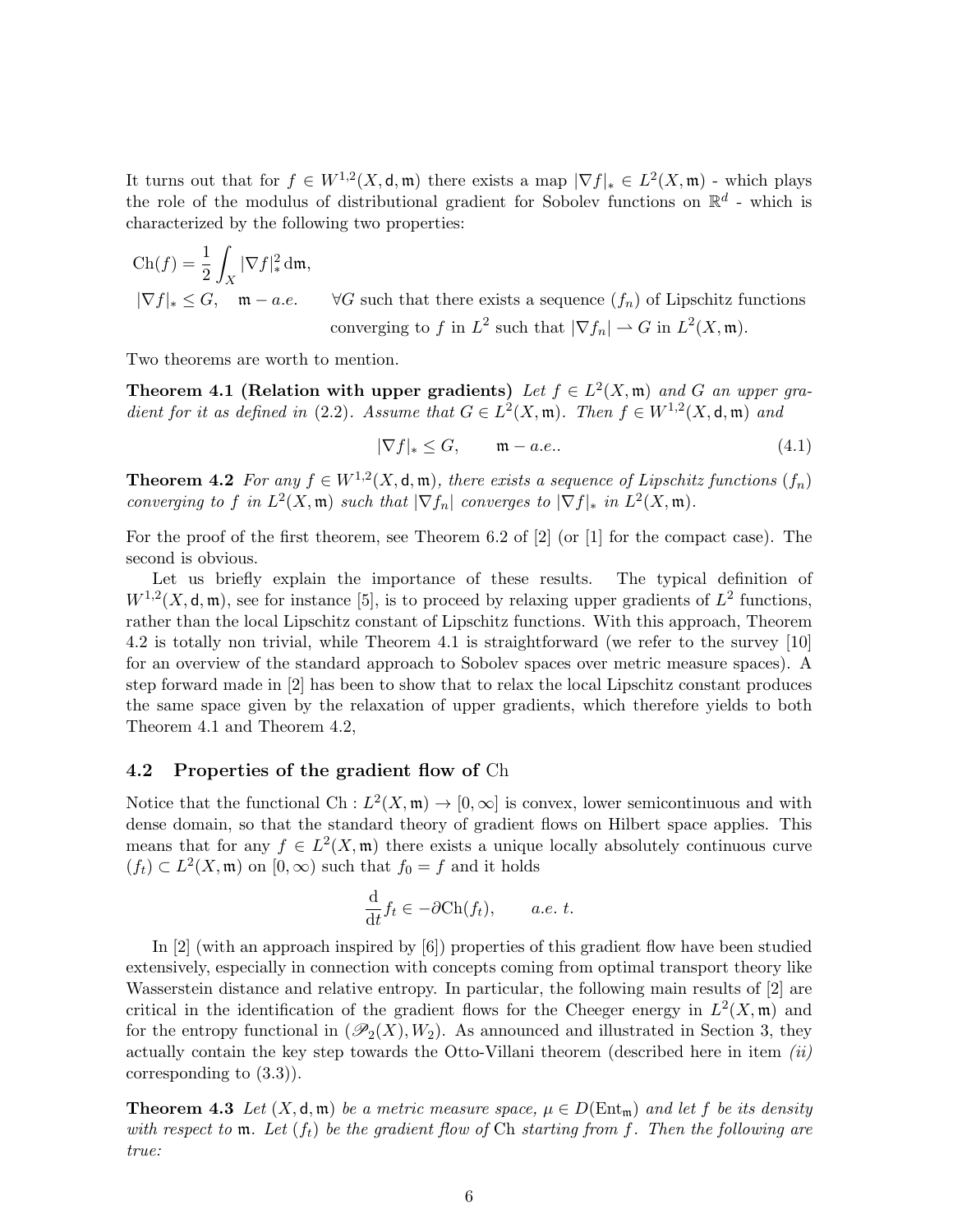It turns out that for  $f \in W^{1,2}(X,\mathsf{d},\mathfrak{m})$  there exists a map  $|\nabla f|_* \in L^2(X,\mathfrak{m})$  - which plays the role of the modulus of distributional gradient for Sobolev functions on  $\mathbb{R}^d$  - which is characterized by the following two properties:

$$
\operatorname{Ch}(f) = \frac{1}{2} \int_X |\nabla f|^2_* \, \mathrm{d}\mathfrak{m},
$$
  

$$
|\nabla f|_* \leq G, \quad \mathfrak{m} - a.e. \qquad \forall G \text{ such that there exists a sequence } (f_n) \text{ of Lipschitz functions}
$$
  
converging to f in  $L^2$  such that  $|\nabla f_n| \to G$  in  $L^2(X, \mathfrak{m})$ .

Two theorems are worth to mention.

Theorem 4.1 (Relation with upper gradients) Let  $f \in L^2(X, \mathfrak{m})$  and G an upper gradient for it as defined in (2.2). Assume that  $G \in L^2(X, \mathfrak{m})$ . Then  $f \in W^{1,2}(X, \mathsf{d}, \mathfrak{m})$  and

$$
|\nabla f|_* \le G, \qquad \mathfrak{m} - a.e.. \tag{4.1}
$$

**Theorem 4.2** For any  $f \in W^{1,2}(X, \mathsf{d}, \mathfrak{m})$ , there exists a sequence of Lipschitz functions  $(f_n)$ converging to f in  $L^2(X, \mathfrak{m})$  such that  $|\nabla f_n|$  converges to  $|\nabla f|_*$  in  $L^2(X, \mathfrak{m})$ .

For the proof of the first theorem, see Theorem 6.2 of  $[2]$  (or  $[1]$  for the compact case). The second is obvious.

Let us briefly explain the importance of these results. The typical definition of  $W^{1,2}(X,\mathsf{d},\mathfrak{m})$ , see for instance [5], is to proceed by relaxing upper gradients of  $L^2$  functions, rather than the local Lipschitz constant of Lipschitz functions. With this approach, Theorem 4.2 is totally non trivial, while Theorem 4.1 is straightforward (we refer to the survey [10] for an overview of the standard approach to Sobolev spaces over metric measure spaces). A step forward made in [2] has been to show that to relax the local Lipschitz constant produces the same space given by the relaxation of upper gradients, which therefore yields to both Theorem 4.1 and Theorem 4.2,

#### 4.2 Properties of the gradient flow of Ch

Notice that the functional Ch :  $L^2(X, \mathfrak{m}) \to [0, \infty]$  is convex, lower semicontinuous and with dense domain, so that the standard theory of gradient flows on Hilbert space applies. This means that for any  $f \in L^2(X, \mathfrak{m})$  there exists a unique locally absolutely continuous curve  $(f_t) \subset L^2(X, \mathfrak{m})$  on  $[0, \infty)$  such that  $f_0 = f$  and it holds

$$
\frac{\mathrm{d}}{\mathrm{d}t}f_t \in -\partial \mathrm{Ch}(f_t), \qquad a.e. \ t.
$$

In [2] (with an approach inspired by [6]) properties of this gradient flow have been studied extensively, especially in connection with concepts coming from optimal transport theory like Wasserstein distance and relative entropy. In particular, the following main results of [2] are critical in the identification of the gradient flows for the Cheeger energy in  $L^2(X, \mathfrak{m})$  and for the entropy functional in  $(\mathscr{P}_2(X), W_2)$ . As announced and illustrated in Section 3, they actually contain the key step towards the Otto-Villani theorem (described here in item  $(ii)$ corresponding to (3.3)).

**Theorem 4.3** Let  $(X, \mathsf{d}, \mathfrak{m})$  be a metric measure space,  $\mu \in D(\text{Ent}_{\mathfrak{m}})$  and let f be its density with respect to  $\mathfrak{m}$ . Let  $(f_t)$  be the gradient flow of Ch starting from f. Then the following are true: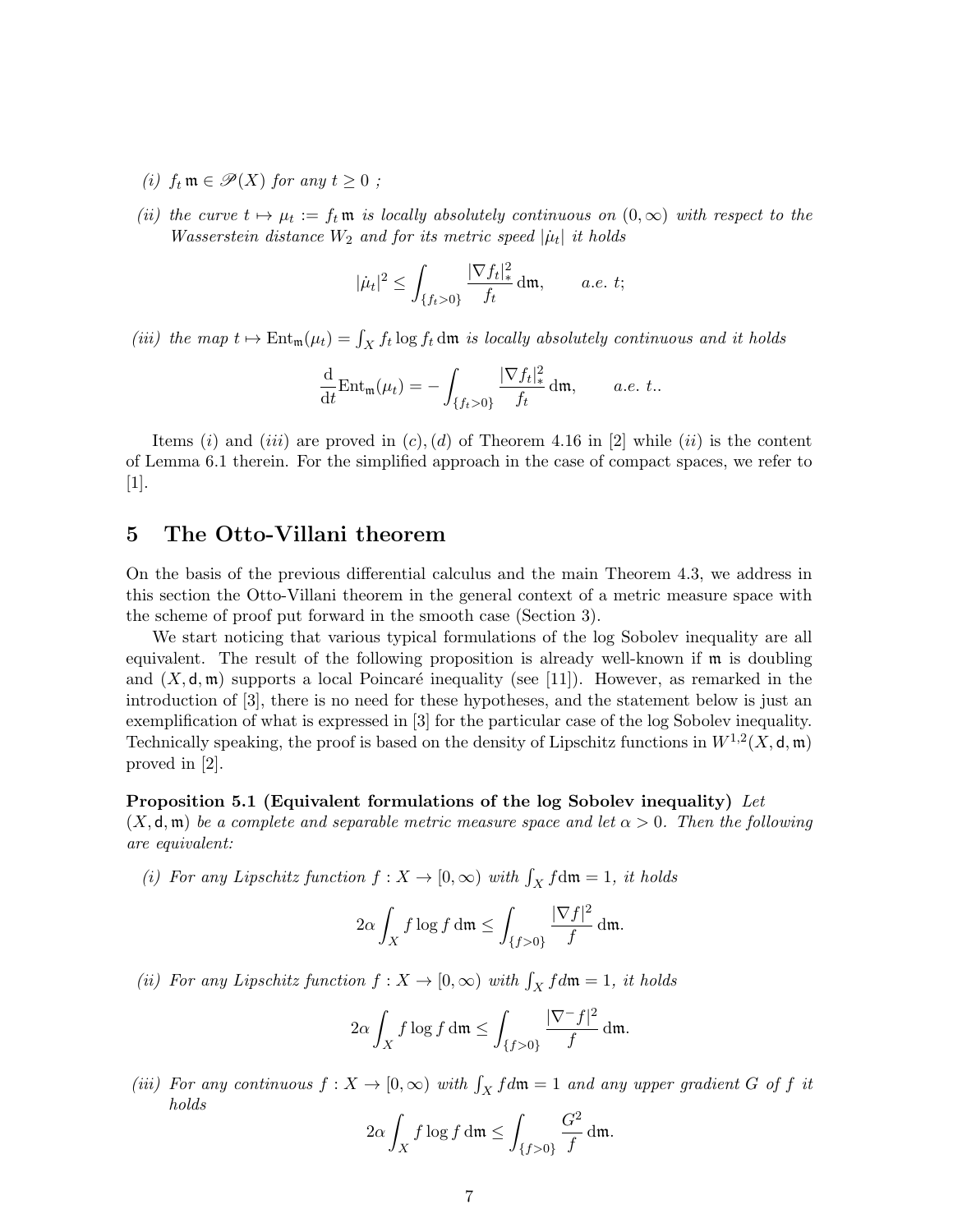- (i)  $f_t \mathfrak{m} \in \mathcal{P}(X)$  for any  $t > 0$ ;
- (ii) the curve  $t \mapsto \mu_t := f_t \mathfrak{m}$  is locally absolutely continuous on  $(0, \infty)$  with respect to the Wasserstein distance  $W_2$  and for its metric speed  $|\dot{\mu}_t|$  it holds

$$
|\dot{\mu}_t|^2 \le \int_{\{f_t > 0\}} \frac{|\nabla f_t|_*^2}{f_t} \, \mathrm{d}\mathfrak{m}, \qquad a.e. \ t;
$$

(iii) the map  $t \mapsto \text{Ent}_{\mathfrak{m}}(\mu_t) = \int_X f_t \log f_t \, d\mathfrak{m}$  is locally absolutely continuous and it holds

$$
\frac{\mathrm{d}}{\mathrm{d}t} \mathrm{Ent}_{\mathfrak{m}}(\mu_t) = -\int_{\{f_t > 0\}} \frac{|\nabla f_t|_*^2}{f_t} \,\mathrm{d}\mathfrak{m}, \qquad a.e. t..
$$

Items (i) and (iii) are proved in  $(c)$ ,  $(d)$  of Theorem 4.16 in [2] while (ii) is the content of Lemma 6.1 therein. For the simplified approach in the case of compact spaces, we refer to  $[1].$ 

#### 5 The Otto-Villani theorem

On the basis of the previous differential calculus and the main Theorem 4.3, we address in this section the Otto-Villani theorem in the general context of a metric measure space with the scheme of proof put forward in the smooth case (Section 3).

We start noticing that various typical formulations of the log Sobolev inequality are all equivalent. The result of the following proposition is already well-known if m is doubling and  $(X, \mathsf{d}, \mathfrak{m})$  supports a local Poincaré inequality (see [11]). However, as remarked in the introduction of [3], there is no need for these hypotheses, and the statement below is just an exemplification of what is expressed in [3] for the particular case of the log Sobolev inequality. Technically speaking, the proof is based on the density of Lipschitz functions in  $W^{1,2}(X, \mathsf{d}, \mathfrak{m})$ proved in [2].

#### Proposition 5.1 (Equivalent formulations of the log Sobolev inequality) Let

 $(X, \mathsf{d}, \mathfrak{m})$  be a complete and separable metric measure space and let  $\alpha > 0$ . Then the following are equivalent:

(i) For any Lipschitz function  $f: X \to [0, \infty)$  with  $\int_X f dm = 1$ , it holds

$$
2\alpha \int_X f \log f \, \mathrm{d}\mathfrak{m} \leq \int_{\{f>0\}} \frac{|\nabla f|^2}{f} \, \mathrm{d}\mathfrak{m}.
$$

(ii) For any Lipschitz function  $f: X \to [0, \infty)$  with  $\int_X f d\mathfrak{m} = 1$ , it holds

$$
2\alpha \int_X f \log f \, \mathrm{d}\mathfrak{m} \le \int_{\{f>0\}} \frac{|\nabla^- f|^2}{f} \, \mathrm{d}\mathfrak{m}.
$$

(iii) For any continuous  $f: X \to [0, \infty)$  with  $\int_X f d\mathfrak{m} = 1$  and any upper gradient G of f it holds

$$
2\alpha \int_X f \log f \, \mathrm{d}\mathfrak{m} \le \int_{\{f>0\}} \frac{G^2}{f} \, \mathrm{d}\mathfrak{m}.
$$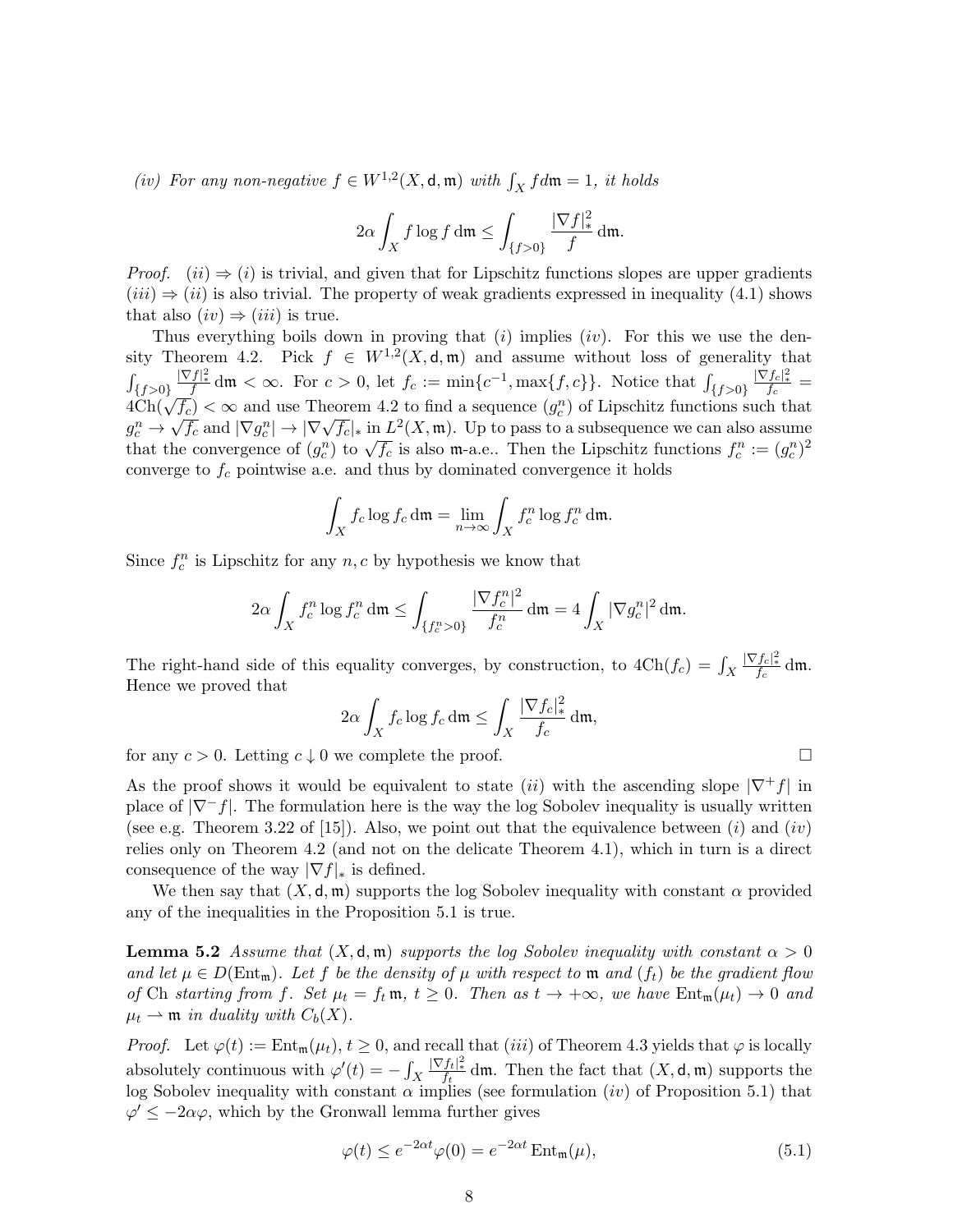(iv) For any non-negative  $f \in W^{1,2}(X, \mathsf{d}, \mathfrak{m})$  with  $\int_X f d\mathfrak{m} = 1$ , it holds

$$
2\alpha \int_X f \log f \, \mathrm{d}\mathfrak{m} \le \int_{\{f>0\}} \frac{|\nabla f|^2}{f} \, \mathrm{d}\mathfrak{m}.
$$

*Proof.* (ii)  $\Rightarrow$  (i) is trivial, and given that for Lipschitz functions slopes are upper gradients  $(iii) \Rightarrow (ii)$  is also trivial. The property of weak gradients expressed in inequality (4.1) shows that also  $(iv) \Rightarrow (iii)$  is true.

Thus everything boils down in proving that  $(i)$  implies  $(iv)$ . For this we use the density Theorem 4.2. Pick  $f \in W^{1,2}(X,\mathsf{d},\mathfrak{m})$  and assume without loss of generality that  $\int_{\{f>0\}}$  $\frac{|\nabla f|^2}{f}$  dm <  $\infty$ . For  $c > 0$ , let  $f_c := \min\{c^{-1}, \max\{f, c\}\}\.$  Notice that  $\int_{\{f > 0\}}$  $\int_{\{f>0\}} \frac{|\nabla f|_{*}^{2}}{f} dm < \infty$ . For  $c > 0$ , let  $f_c := \min\{c^{-1}, \max\{f, c\}\}\$ . Notice that  $\int_{\{f>0\}} \frac{|\nabla f_c|_{*}^{2}}{f_c} = 4 \text{Ch}(\sqrt{f_c}) < \infty$  and use Theorem 4.2 to find a sequence  $(g_c^n)$  of Lipschitz functions such that  $g_c^n \to \sqrt{f_c}$  and  $|\nabla g_c^n| \to |\nabla \sqrt{f_c}|_*$  in  $L^2(X, \mathfrak{m})$ . Up to pass to a subsequence we can also assume  $g_c \to \sqrt{f_c}$  and  $|\nabla g_c| \to |\nabla \sqrt{f_c}|$  in  $L(\Lambda, \mathfrak{m})$ . Op to pass to a subsequence we can also assume that the convergence of  $(g_c^n)$  to  $\sqrt{f_c}$  is also m-a.e.. Then the Lipschitz functions  $f_c^n := (g_c^n)^2$ converge to  $f_c$  pointwise a.e. and thus by dominated convergence it holds

$$
\int_X f_c \log f_c \, \mathrm{d}\mathfrak{m} = \lim_{n \to \infty} \int_X f_c^n \log f_c^n \, \mathrm{d}\mathfrak{m}.
$$

Since  $f_c^n$  is Lipschitz for any  $n, c$  by hypothesis we know that

$$
2\alpha \int_X f_c^n \log f_c^n \, \mathrm{d}\mathfrak{m} \le \int_{\{f_c^n > 0\}} \frac{|\nabla f_c^n|^2}{f_c^n} \, \mathrm{d}\mathfrak{m} = 4 \int_X |\nabla g_c^n|^2 \, \mathrm{d}\mathfrak{m}.
$$

The right-hand side of this equality converges, by construction, to  $4Ch(f_c) = \int_X$  $\frac{|\nabla f_c|_*^2}{f_c}$  dm. Hence we proved that

$$
2\alpha \int_X f_c \log f_c \, \mathrm{d}\mathfrak{m} \le \int_X \frac{|\nabla f_c|_*^2}{f_c} \, \mathrm{d}\mathfrak{m},
$$

for any  $c > 0$ . Letting  $c \downarrow 0$  we complete the proof.

As the proof shows it would be equivalent to state (ii) with the ascending slope  $|\nabla^+ f|$  in place of  $|\nabla^-f|$ . The formulation here is the way the log Sobolev inequality is usually written (see e.g. Theorem 3.22 of [15]). Also, we point out that the equivalence between  $(i)$  and  $(iv)$ relies only on Theorem 4.2 (and not on the delicate Theorem 4.1), which in turn is a direct consequence of the way  $|\nabla f|_*$  is defined.

We then say that  $(X, \mathsf{d}, \mathfrak{m})$  supports the log Sobolev inequality with constant  $\alpha$  provided any of the inequalities in the Proposition 5.1 is true.

**Lemma 5.2** Assume that  $(X, \mathsf{d}, \mathfrak{m})$  supports the log Sobolev inequality with constant  $\alpha > 0$ and let  $\mu \in D(\text{Ent}_{\mathfrak{m}})$ . Let f be the density of  $\mu$  with respect to  $\mathfrak{m}$  and  $(f_t)$  be the gradient flow of Ch starting from f. Set  $\mu_t = f_t \mathfrak{m}$ ,  $t \geq 0$ . Then as  $t \to +\infty$ , we have  $Ent_{\mathfrak{m}}(\mu_t) \to 0$  and  $\mu_t \rightharpoonup \mathfrak{m}$  in duality with  $C_b(X)$ .

*Proof.* Let  $\varphi(t) := \text{Ent}_{\mathfrak{m}}(\mu_t)$ ,  $t \geq 0$ , and recall that (iii) of Theorem 4.3 yields that  $\varphi$  is locally absolutely continuous with  $\varphi'(t) = -\int_X$  $\frac{|\nabla f_t|^2}{f_t}$  dm. Then the fact that  $(X, \mathsf{d}, \mathfrak{m})$  supports the log Sobolev inequality with constant  $\alpha$  implies (see formulation  $(iv)$  of Proposition 5.1) that  $\varphi' \leq -2\alpha\varphi$ , which by the Gronwall lemma further gives

$$
\varphi(t) \le e^{-2\alpha t} \varphi(0) = e^{-2\alpha t} \operatorname{Ent}_{\mathfrak{m}}(\mu),\tag{5.1}
$$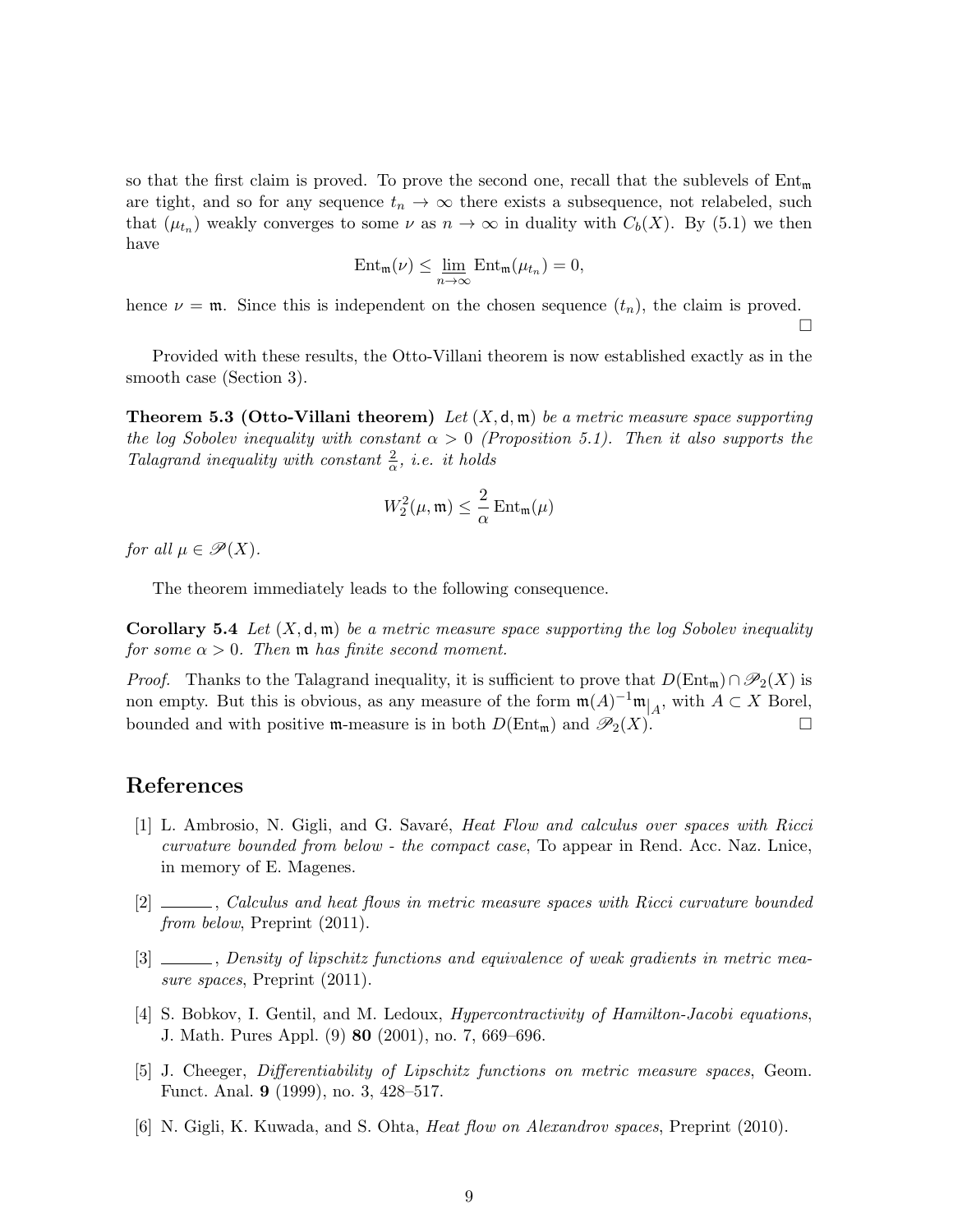so that the first claim is proved. To prove the second one, recall that the sublevels of  $Ent_{m}$ are tight, and so for any sequence  $t_n \to \infty$  there exists a subsequence, not relabeled, such that  $(\mu_{t_n})$  weakly converges to some  $\nu$  as  $n \to \infty$  in duality with  $C_b(X)$ . By (5.1) we then have

$$
\mathrm{Ent}_{\mathfrak{m}}(\nu) \leq \lim_{n \to \infty} \mathrm{Ent}_{\mathfrak{m}}(\mu_{t_n}) = 0,
$$

hence  $\nu = \mathfrak{m}$ . Since this is independent on the chosen sequence  $(t_n)$ , the claim is proved.

 $\Box$ 

Provided with these results, the Otto-Villani theorem is now established exactly as in the smooth case (Section 3).

**Theorem 5.3 (Otto-Villani theorem)** Let  $(X, \mathsf{d}, \mathfrak{m})$  be a metric measure space supporting the log Sobolev inequality with constant  $\alpha > 0$  (Proposition 5.1). Then it also supports the Talagrand inequality with constant  $\frac{2}{\alpha}$ , i.e. it holds

$$
W_2^2(\mu, \mathfrak{m}) \leq \frac{2}{\alpha} \operatorname{Ent}_{\mathfrak{m}}(\mu)
$$

for all  $\mu \in \mathscr{P}(X)$ .

The theorem immediately leads to the following consequence.

**Corollary 5.4** Let  $(X, \mathsf{d}, \mathfrak{m})$  be a metric measure space supporting the log Sobolev inequality for some  $\alpha > 0$ . Then **m** has finite second moment.

*Proof.* Thanks to the Talagrand inequality, it is sufficient to prove that  $D(\text{Ent}_{\mathfrak{m}}) \cap \mathcal{P}_2(X)$  is non empty. But this is obvious, as any measure of the form  $\mathfrak{m}(A)^{-1}\mathfrak{m}|_A$ , with  $A \subset X$  Borel, bounded and with positive m-measure is in both  $D(\text{Ent}_{m})$  and  $\mathscr{P}_2(X)$ .

## References

- [1] L. Ambrosio, N. Gigli, and G. Savaré, *Heat Flow and calculus over spaces with Ricci* curvature bounded from below - the compact case, To appear in Rend. Acc. Naz. Lnice, in memory of E. Magenes.
- [2] , Calculus and heat flows in metric measure spaces with Ricci curvature bounded from below, Preprint (2011).
- [3]  $\Box$ , Density of lipschitz functions and equivalence of weak gradients in metric measure spaces, Preprint  $(2011)$ .
- [4] S. Bobkov, I. Gentil, and M. Ledoux, Hypercontractivity of Hamilton-Jacobi equations, J. Math. Pures Appl. (9) 80 (2001), no. 7, 669–696.
- [5] J. Cheeger, Differentiability of Lipschitz functions on metric measure spaces, Geom. Funct. Anal. 9 (1999), no. 3, 428–517.
- [6] N. Gigli, K. Kuwada, and S. Ohta, Heat flow on Alexandrov spaces, Preprint (2010).